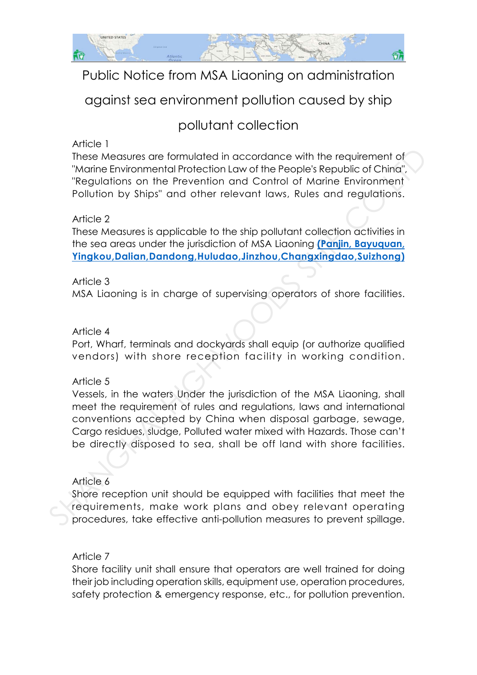

# Public Notice from MSA Liaoning on administration

# against sea environment pollution caused by ship

# pollutant collection

#### Article 1

These Measures are formulated in accordance with the requirement of "Marine Environmental Protection Law of the People's Republic of China", "Regulations on the Prevention and Control of Marine Environment Pollution by Ships" and other relevant laws, Rules and regulations.

#### Article 2

These Measures is applicable to the ship pollutant collection activities in the sea areas under the jurisdiction of MSA Liaoning **(Panjin, Bayuquan, Yingkou,Dalian,Dandong,Huludao,Jinzhou,Changxingdao,Suizhong)**

#### Article 3

MSA Liaoning is in charge of supervising operators of shore facilities.

#### Article 4

Port, Wharf, terminals and dockyards shall equip (or authorize qualified vendors) with shore reception facility in working condition.

#### Article 5

Vessels, in the waters Under the jurisdiction of the MSA Liaoning, shall meet the requirement of rules and regulations, laws and international conventions accepted by China when disposal garbage, sewage, Cargo residues, sludge, Polluted water mixed with Hazards. Those can't be directly disposed to sea, shall be off land with shore facilities. These Measures are formulated in accordance with the requirement of "Marine Environmental Protection Law of the People's Republic of China". "Regulations on the Prevention and Control of Marine Environment<br>Pollution by Shi

#### Article 6

Shore reception unit should be equipped with facilities that meet the requirements, make work plans and obey relevant operating procedures, take effective anti-pollution measures to prevent spillage.

#### Article 7

Shore facility unit shall ensure that operators are well trained for doing their job including operation skills, equipment use, operation procedures, safety protection & emergency response, etc., for pollution prevention.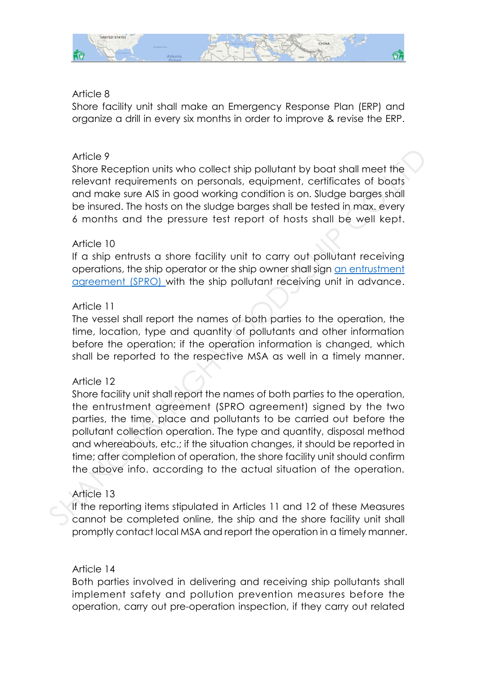

#### Article 8

Shore facility unit shall make an Emergency Response Plan (ERP) and organize a drill in every six months in order to improve & revise the ERP.

#### Article 9

Shore Reception units who collect ship pollutant by boat shall meet the relevant requirements on personals, equipment, certificates of boats and make sure AIS in good working condition is on. Sludge barges shall be insured. The hosts on the sludge barges shall be tested in max. every 6 months and the pressure test report of hosts shall be well kept.

#### Article 10

If a ship entrusts a shore facility unit to carry out pollutant receiving operations, the ship operator or the ship owner shall sign an entrustment agreement (SPRO) with the ship pollutant receiving unit in advance.

### Article 11

The vessel shall report the names of both parties to the operation, the time, location, type and quantity of pollutants and other information before the operation; if the operation information is changed, which shall be reported to the respective MSA as well in a timely manner.

#### Article 12

Shore facility unit shall report the names of both parties to the operation, the entrustment agreement (SPRO agreement) signed by the two parties, the time, place and pollutants to be carried out before the pollutant collection operation. The type and quantity, disposal method and whereabouts, etc.; if the situation changes, it should be reported in time; after completion of operation, the shore facility unit should confirm the above info. according to the actual situation of the operation. Article 9<br>Shore Reception units who collect ship pollutant by boat shall meet the<br>shore Reception units on personals, equipment, certificates of boats<br>and make sure AIS in good working condition is on. Sludge barges shall<br>

## Article 13

If the reporting items stipulated in Articles 11 and 12 of these Measures cannot be completed online, the ship and the shore facility unit shall promptly contact local MSA and report the operation in a timely manner.

#### Article 14

Both parties involved in delivering and receiving ship pollutants shall implement safety and pollution prevention measures before the operation, carry out pre-operation inspection, if they carry out related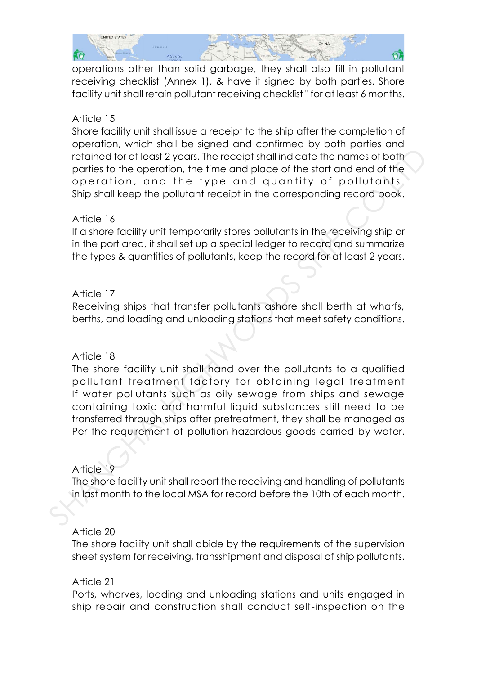

operations other than solid garbage, they shall also fill in pollutant receiving checklist (Annex 1), & have it signed by both parties. Shore facility unit shall retain pollutant receiving checklist " for at least 6 months.

#### Article 15

Shore facility unit shall issue a receipt to the ship after the completion of operation, which shall be signed and confirmed by both parties and retained for at least 2 years. The receipt shall indicate the names of both parties to the operation, the time and place of the start and end of the operation, and the type and quantity of pollutants. Ship shall keep the pollutant receipt in the corresponding record book.

#### Article 16

If a shore facility unit temporarily stores pollutants in the receiving ship or in the port area, it shall set up a special ledger to record and summarize the types & quantities of pollutants, keep the record for at least 2 years.

#### Article 17

Receiving ships that transfer pollutants ashore shall berth at wharfs, berths, and loading and unloading stations that meet safety conditions.

#### Article 18

The shore facility unit shall hand over the pollutants to a qualified pollutant treatment factory for obtaining legal treatment If water pollutants such as oily sewage from ships and sewage containing toxic and harmful liquid substances still need to be transferred through ships after pretreatment, they shall be managed as Per the requirement of pollution-hazardous goods carried by water. relation of the coperation, the time and place of the operation and of the position of the population of the operation, and the type and quantity of pollutants, Ship shall keep the pollutant receipt in the corresponding re

#### Article 19

The shore facility unit shall report the receiving and handling of pollutants in last month to the local MSA for record before the 10th of each month.

#### Article 20

The shore facility unit shall abide by the requirements of the supervision sheet system for receiving, transshipment and disposal of ship pollutants.

#### Article 21

Ports, wharves, loading and unloading stations and units engaged in ship repair and construction shall conduct self-inspection on the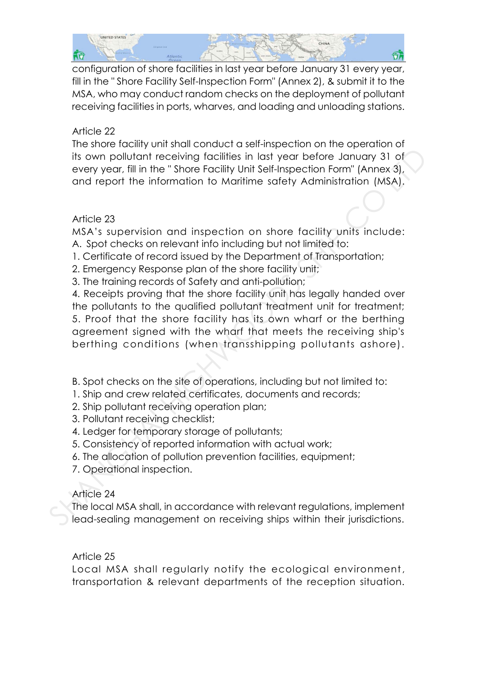

configuration of shore facilities in last year before January 31 every year, fill in the " Shore Facility Self-Inspection Form" (Annex 2), & submit it to the MSA, who may conduct random checks on the deployment of pollutant receiving facilities in ports, wharves, and loading and unloading stations.

### Article 22

The shore facility unit shall conduct a self-inspection on the operation of its own pollutant receiving facilities in last year before January 31 of every year, fill in the " Shore Facility Unit Self-Inspection Form" (Annex 3), and report the information to Maritime safety Administration (MSA).

## Article 23

MSA's supervision and inspection on shore facility units include: A. Spot checks on relevant info including but not limited to:

- 1. Certificate of record issued by the Department of Transportation;
- 2. Emergency Response plan of the shore facility unit;
- 3. The training records of Safety and anti-pollution;

4. Receipts proving that the shore facility unit has legally handed over the pollutants to the qualified pollutant treatment unit for treatment; 5. Proof that the shore facility has its own wharf or the berthing agreement signed with the wharf that meets the receiving ship's berthing conditions (when transshipping pollutants ashore). its own pollulant receiving lacilities in last year before January 31 of<br>every year, fill in the "Shore Facility Unit Self-Inspection Form" (Annex 3),<br>and report the information to Marilime safety Administration (MSA).<br>Art

- B. Spot checks on the site of operations, including but not limited to:
- 1. Ship and crew related certificates, documents and records;
- 2. Ship pollutant receiving operation plan;
- 3. Pollutant receiving checklist;
- 4. Ledger for temporary storage of pollutants;
- 5. Consistency of reported information with actual work;
- 6. The allocation of pollution prevention facilities, equipment;
- 7. Operational inspection.

## Article 24

The local MSA shall, in accordance with relevant regulations, implement lead-sealing management on receiving ships within their jurisdictions.

#### Article 25

Local MSA shall regularly notify the ecological environment, transportation & relevant departments of the reception situation.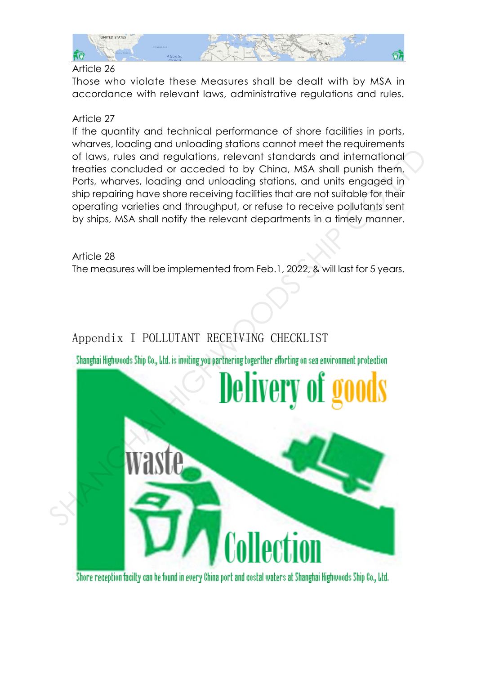

#### Article 26

Those who violate these Measures shall be dealt with by MSA in accordance with relevant laws, administrative regulations and rules.

### Article 27

If the quantity and technical performance of shore facilities in ports, wharves, loading and unloading stations cannot meet the requirements of laws, rules and regulations, relevant standards and international treaties concluded or acceded to by China, MSA shall punish them. Ports, wharves, loading and unloading stations, and units engaged in ship repairing have shore receiving facilities that are not suitable for their operating varieties and throughput, or refuse to receive pollutants sent by ships, MSA shall notify the relevant departments in a timely manner.

Article 28 The measures will be implemented from Feb.1, 2022, & will last for 5 years.

# Appendix I POLLUTANT RECEIVING CHECKLIST



Shore reception facilty can be found in every China port and costal waters at Shanghai Highwoods Ship Co., Ltd.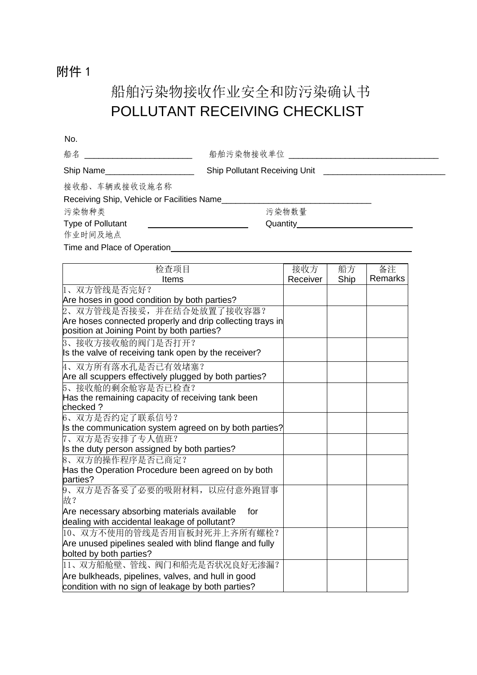# 附件 1

# 船舶污染物接收作业安全和防污染确认书 POLLUTANT RECEIVING CHECKLIST

| No.                                        |                                               |  |
|--------------------------------------------|-----------------------------------------------|--|
| 船名 ______________________________          | 船舶污染物接收单位 _____________________               |  |
| Ship Name_____________________             | Ship Pollutant Receiving Unit _______________ |  |
| 接收船、车辆或接收设施名称                              |                                               |  |
| Receiving Ship, Vehicle or Facilities Name |                                               |  |
| 污染物种类                                      | 污染物数量                                         |  |
| <b>Type of Pollutant</b>                   | Quantity________________________              |  |
| 作业时间及地点                                    |                                               |  |
| Time and Place of Operation                |                                               |  |

| 检查项目                                                                                                    | 接收方      | 船方   | 备注      |
|---------------------------------------------------------------------------------------------------------|----------|------|---------|
| Items                                                                                                   | Receiver | Ship | Remarks |
| 1、双方管线是否完好?                                                                                             |          |      |         |
| Are hoses in good condition by both parties?                                                            |          |      |         |
| 2、双方管线是否接妥,并在结合处放置了接收容器?                                                                                |          |      |         |
| Are hoses connected properly and drip collecting trays in<br>position at Joining Point by both parties? |          |      |         |
| 3、接收方接收舱的阀门是否打开?                                                                                        |          |      |         |
| Is the valve of receiving tank open by the receiver?                                                    |          |      |         |
| 4、双方所有落水孔是否已有效堵塞?                                                                                       |          |      |         |
| Are all scuppers effectively plugged by both parties?                                                   |          |      |         |
| 5、接收舱的剩余舱容是否已检查?                                                                                        |          |      |         |
| Has the remaining capacity of receiving tank been                                                       |          |      |         |
| checked?                                                                                                |          |      |         |
| 6、双方是否约定了联系信号?                                                                                          |          |      |         |
| Is the communication system agreed on by both parties?                                                  |          |      |         |
| 7、双方是否安排了专人值班?                                                                                          |          |      |         |
| Is the duty person assigned by both parties?                                                            |          |      |         |
| 8、双方的操作程序是否已商定?                                                                                         |          |      |         |
| Has the Operation Procedure been agreed on by both<br>parties?                                          |          |      |         |
| 9、双方是否备妥了必要的吸附材料, 以应付意外跑冒事<br>故?                                                                        |          |      |         |
| Are necessary absorbing materials available<br>for                                                      |          |      |         |
| dealing with accidental leakage of pollutant?                                                           |          |      |         |
| 10、双方不使用的管线是否用盲板封死并上齐所有螺栓?                                                                              |          |      |         |
| Are unused pipelines sealed with blind flange and fully                                                 |          |      |         |
| bolted by both parties?                                                                                 |          |      |         |
| 11、双方船舱壁、管线、阀门和船壳是否状况良好无渗漏?                                                                             |          |      |         |
| Are bulkheads, pipelines, valves, and hull in good                                                      |          |      |         |
| condition with no sign of leakage by both parties?                                                      |          |      |         |